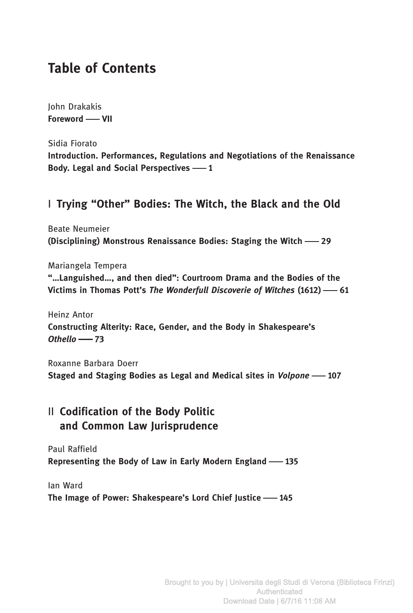# Table of Contents

John Drakakis Foreword - VII

Sidia Fiorato Introduction. Performances, Regulations and Negotiations of the Renaissance Body. Legal and Social Perspectives -1

#### I Trying "Other" Bodies: The Witch, the Black and the Old

Beate Neumeier (Disciplining) Monstrous Renaissance Bodies: Staging the Witch -29

Mariangela Tempera "…Languished…, and then died": Courtroom Drama and the Bodies of the Victims in Thomas Pott's The Wonderfull Discoverie of Witches  $(1612)$  - 61

Heinz Antor Constructing Alterity: Race, Gender, and the Body in Shakespeare's  $Othello \longrightarrow 73$ 

Roxanne Barbara Doerr Staged and Staging Bodies as Legal and Medical sites in Volpone -107

#### II Codification of the Body Politic and Common Law Jurisprudence

Paul Raffield Representing the Body of Law in Early Modern England -135

Ian Ward The Image of Power: Shakespeare's Lord Chief Justice -145